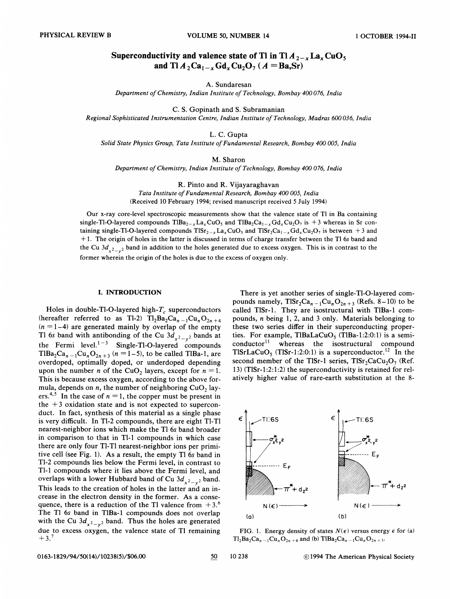# Superconductivity and valence state of Tl in Tl $A_{2-x}$  La<sub>x</sub> CuO<sub>5</sub> and Tl  $A_2$ Ca<sub>1-x</sub> Gd<sub>x</sub>Cu<sub>2</sub>O<sub>7</sub> ( $A = Ba$ ,Sr)

A. Sundaresan

Department of Chemistry, Indian Institute of Technology, Bombay 400076, India

C. S. Gopinath and S. Subramanian Regional Sophisticated Instrumentation Centre, Indian Institute of Technology, Madras 600036, India

## L. C. Gupta

Solid State Physics Group, Tata Institute of Fundamental Research, Bombay 400 005, India

M. Sharon

Department of Chemistry, Indian Institute of Technology, Bombay 400 076, India

R. Pinto and R. Vijayaraghavan

Tata Institute of Fundamental Research, Bombay 400 005, India (Received 10 February 1994; revised manuscript received 5 July 1994)

Our x-ray core-level spectroscopic measurements show that the valence state of Tl in Ba containing single-Tl-O-layered compounds TlBa<sub>2-x</sub>La<sub>x</sub>CuO<sub>5</sub> and TlBa<sub>2</sub>Ca<sub>1-x</sub>Gd<sub>x</sub>Cu<sub>2</sub>O<sub>7</sub> is +3 whereas in Sr containing single-Tl-O-layered compounds  $T1Sr_{2-x} La_x CuO_5$  and  $T1Sr_2 Ca_{1-x} Gd_x Cu_2 O_7$  is between +3 and + 1. The origin of holes in the latter is discussed in terms of charge transfer between the Tl 6s band and the Cu  $3d_{x^2-y^2}$  band in addition to the holes generated due to excess oxygen. This is in contrast to the former wherein the origin of the holes is due to the excess of oxygen only.

#### I. INTRODUCTION

Holes in double-Tl-O-layered high- $T_c$  superconductors (hereafter referred to as Tl-2)  $Tl_2Ba_2Ca_{n-1}Cu_nO_{2n+4}$  $(n = 1-4)$  are generated mainly by overlap of the empty Tl 6s band with antibonding of the Cu  $3d_{x^2-y^2}$  bands at the Fermi level.<sup>1-3</sup> Single-Tl-O-layered compounds TIBa<sub>2</sub>Ca<sub>n-1</sub>Cu<sub>n</sub>O<sub>2n+3</sub> (n = 1-5), to be called TIBa-1, are overdoped, optimally doped, or underdoped depending upon the number *n* of the CuO<sub>2</sub> layers, except for  $n = 1$ . This is because excess oxygen, according to the above formula, depends on *n*, the number of neighboring  $CuO<sub>2</sub>$  layers.<sup>4,5</sup> In the case of  $n = 1$ , the copper must be present in the  $+3$  oxidation state and is not expected to superconduct. In fact, synthesis of this material as a single phase is very difficult. In Tl-2 compounds, there are eight Tl-Tl nearest-neighbor ions which make the Tl 6s band broader in comparison to that in Tl-1 compounds in which case there are only four Tl-Tl nearest-neighbor ions per primitive cell (see Fig. 1). As a result, the empty Tl 6s band in Tl-2 compounds lies below the Fermi level, in contrast to Tl-1 compounds where it lies above the Fermi level, and overlaps with a lower Hubbard band of Cu  $3d_{x^2-y^2}$  band. This leads to the creation of holes in the latter and an increase in the electron density in the former. As a consequence, there is a reduction of the Tl valence from  $+3.6$ The Tl 6s band in T1Ba-1 compounds does not overlap with the Cu  $3d_{x^2-y^2}$  band. Thus the holes are generated due to excess oxygen, the valence state of Tl remaining  $+3.7$ 

There is yet another series of single-Tl-O-layered compounds namely,  $Tlsr_2Ca_{n-1}Cu_nO_{2n+3}$  (Refs. 8–10) to be called TlSr-1. They are isostructural with TlBa-1 compounds, n being 1, 2, and 3 only. Materials belonging to these two series differ in their superconducting properties. For example, TlBaLaCuO<sub>5</sub> (TlBa-1:2:0:1) is a semi- $\text{conductor}^{11}$  whereas the isostructural compound TISrLaCuO<sub>5</sub> (TISr-1:2:0:1) is a superconductor.<sup>12</sup> In the second member of the TlSr-1 series,  $Tlsr_2CaCu_2O_7$  (Ref. 13) (TISr-1:2:1:2) the superconductivity is retained for relatively higher value of rare-earth substitution at the 8-



FIG. 1. Energy density of states  $N(\epsilon)$  versus energy  $\epsilon$  for (a)  $Tl_2Ba_2Ca_{n-1}Cu_nO_{2n+4}$  and (b)  $TlBa_2Ca_{n-1}Cu_nO_{2n+3}$ .

0163-1829/94/50(14)/10238(5)/\$06.00 50 50 50 50 50 50 50 50 50 50 61994 The American Physical Society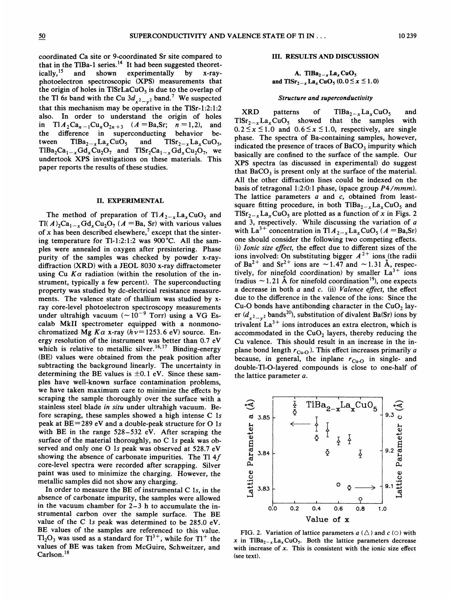coordinated Ca site or 9-coordinated Sr site compared to that in the TlBa-1 series.<sup>14</sup> It had been suggested theoret ically,<sup>15</sup> and shown experimentally by x-rayphotoelectron spectroscopic (XPS) measurements that the origin of holes in TlSrLaCuO<sub>5</sub> is due to the overlap of the Tl 6s band with the Cu  $3d_{x^2-y^2}$  band.<sup>7</sup> We suspected that this mechanism may be operative in the T1Sr-1:2:1:2 also. In order to understand the origin of holes in  $T1A_2Ca_{n-1}Cu_nO_{2n+3}$   $(A = Ba, Sr; n = 1,2)$ , and the difference in superconducting behavior between  $T1Ba_{2-x}La_xCuO_5$  and  $T1Sr_{2-x}La_xCuO_5$ ,  $TIBa_2Ca_{1-x}Gd_xCu_2O_7$  and  $TISr_2Ca_{1-x}Gd_xCu_2O_7$ , we undertook XPS investigations on these materials. This paper reports the results of these studies.

#### II. EXPERIMENTAL

The method of preparation of  $T1A_{2-x}La_xCuO_5$  and Tl( $A$ )<sub>2</sub>Ca<sub>1-x</sub>Gd<sub>x</sub>Cu<sub>2</sub>O<sub>7</sub> ( $A = Ba$ , Sr) with various values of x has been described elsewhere,<sup>7</sup> except that the sintering temperature for Tl-1:2:1:2 was 900°C. All the samples were annealed in oxygen after presintering. Phase purity of the samples was checked by powder x-raydiffraction (XRD) with a JEOL 8030 x-ray diffractometer using Cu  $K\alpha$  radiation (within the resolution of the instrument, typically a few percent). The superconducting property was studied by dc-electrical resistance measurements. The valence state of thallium was studied by xray core-level photoelectron spectroscopy measurements under ultrahigh vacuum  $({\sim}10^{-9}$  Torr) using a VG Escalab MkII spectrometer equipped with a nonmonochromatized Mg  $K\alpha$  x-ray ( $h\nu=1253.6$  eV) source. Energy resolution of the instrument was better than  $0.7$  eV which is relative to metallic silver.<sup>16,17</sup> Binding-energy which is relative to metallic silver.<sup>16,17</sup> Binding-energy (BE) values were obtained from the peak position after subtracting the background linearly. The uncertainty in determining the BE values is  $\pm 0.1$  eV. Since these samples have well-known surface contamination problems, we have taken maximum care to minimize the effects by scraping the sample thoroughly over the surface with a stainless steel blade in situ under ultrahigh vacuum. Before scraping, these samples showed a high intense C ls peak at  $BE=289$  eV and a double-peak structure for O 1s with BE in the range 528—532 eV. After scraping the surface of the material thoroughly, no C 1s peak was observed and only one 0 1s peak was observed at 528.<sup>7</sup> eV showing the absence of carbonate impurities. The Tl 4f core-level spectra were recorded after scrapping. Silver paint was used to minimize the charging. However, the metallic samples did not show any charging.

In order to measure the BE of instrumental C 1s, in the absence of carbonate impurity, the samples were allowed in the vacuum chamber for 2—3 h to accumulate the instrurnental carbon over the sample surface. The BE value of the C 1s peak was determined to be 285.0 eV. BE values of the samples are referenced to this value.  $Tl_2O_3$  was used as a standard for  $Tl^{3+}$ , while for  $Tl^+$  the values of BE was taken from McGuire, Schweitzer, and Carlson.<sup>18</sup>

#### III. RESULTS AND DISCUSSION

## A. Tl $Ba_{2-x}La_xCuO_5$ and  $Tlsr_{2-x}$  La<sub>x</sub> CuO<sub>5</sub> (0.0  $\leq$  x  $\leq$  1.0)

#### Structure and superconductivity

 $XRD$  patterns of  $TIBa_{2-x}La_xCuO_5$  and  $T1Sr_{2-x}La_xCuO_5$  showed that the samples with  $0.2 \le x \le 1.0$  and  $0.6 \le x \le 1.0$ , respectively, are single phase. The spectra of Ba-containing samples, however, indicated the presence of traces of  $BaCO<sub>3</sub>$  impurity which basically are confined to the surface of the sample. Our XPS spectra (as discussed in experimental) do suggest that  $BaCO<sub>3</sub>$  is present only at the surface of the material. All the other diffraction lines could be indexed on the basis of tetragonal 1:2:0:1 phase, (space group  $P4/mmm$ ). The lattice parameters  $a$  and  $c$ , obtained from leastsquare fitting procedure, in both  $TIBa_{2-x}La_xCuO_5$  and  $T1Sr_{2-x}La_xCuO_5$  are plotted as a function of x in Figs. 2 and 3, respectively. While discussing the variation of  $a$ with La<sup>3+</sup> concentration in Tl  $A_{2-x}$  La<sub>x</sub> CuO<sub>5</sub> ( $A = Ba$ , Sr) one should consider the following two competing effects. (i) Ionic size effect, the effect due to different sizes of the ions involved: On substituting bigger  $A^{2+}$  ions (the radi from involved: On substituting original  $A$  and  $\sim 1.31$  Å, respection and  $\sim 1.31$  Å, respectively tively, for ninefold coordination) by smaller  $La^{3+}$  ions (radius  $\sim$  1.21 Å for ninefold coordination<sup>19</sup>), one expects a decrease in both  $a$  and  $c$ . (ii) *Valence effect*, the effect due to the difference in the valence of the ions: Since the Cu-O bonds have antibonding character in the CuO<sub>2</sub> layer ( $d_{x^2-y^2}$  bands<sup>20</sup>), substitution of divalent Ba(Sr) ions by trivalent  $La^{3+}$  ions introduces an extra electron, which is accommodated in the  $CuO<sub>2</sub>$  layers, thereby reducing the Cu valence. This should result in an increase in the inplane bond length  $r_{Cu-O}$ ). This effect increases primarily a because, in general, the inplane  $r_{\text{Cu-O}}$  in single- and double-Tl-0-layered compounds is close to one-half of the lattice parameter a.



FIG. 2. Variation of lattice parameters  $a$  ( $\triangle$ ) and  $c$  ( $\circ$ ) with x in TlBa<sub>2-x</sub>La<sub>x</sub>CuO<sub>5</sub>. Both the lattice parameters decrease with increase of  $x$ . This is consistent with the ionic size effect (see text).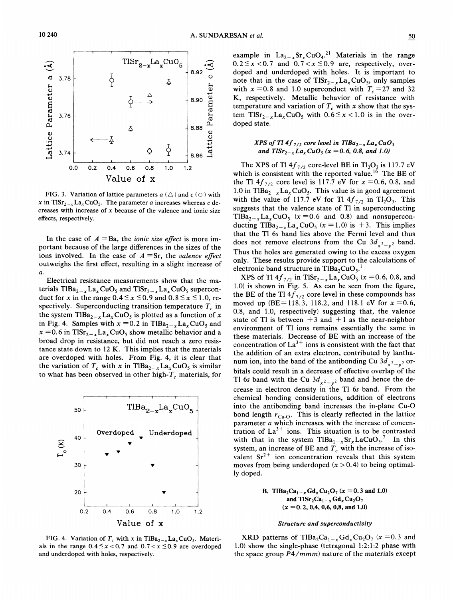

FIG. 3. Variation of lattice parameters  $a$  ( $\triangle$ ) and  $c$  ( $\odot$ ) with x in TIS $r_{2-x}$ La<sub>x</sub>CuO<sub>5</sub>. The parameter *a* increases whereas *c* decreases with increase of  $x$  because of the valence and ionic size effects, respectively.

In the case of  $A = Ba$ , the *ionic size effect* is more important because of the large differences in the sizes of the ions involved. In the case of  $A = Sr$ , the valence effect outweighs the first effect, resulting in a slight increase of  $\boldsymbol{a}$ .

Electrical resistance measurements show that the materials  $TIBa_{2-x}La_xCuO_5$  and  $TISr_{2-x}La_xCuO_5$  superconduct for x in the range  $0.4 \le x \le 0.9$  and  $0.8 \le x \le 1.0$ , respectively. Superconducting transition temperature  $T_c$  in the system TlBa<sub>2-x</sub>La<sub>x</sub>CuO<sub>5</sub> is plotted as a function of x in Fig. 4. Samples with  $x = 0.2$  in TlBa<sub>2-x</sub>La<sub>x</sub>CuO<sub>5</sub> and  $x = 0.6$  in TlSr<sub>2-x</sub>La<sub>x</sub>CuO<sub>5</sub> show metallic behavior and a broad drop in resistance, but did not reach a zero resistance state down to  $12$  K. This implies that the materials are overdoped with holes. From Fig. 4, it is clear that the variation of  $T_c$  with x in TIBa<sub>2-x</sub>La<sub>x</sub>CuO<sub>5</sub> is similar to what has been observed in other high- $T_c$  materials, for



FIG. 4. Variation of  $T_c$  with x in TlBa<sub>2-x</sub>La<sub>x</sub>CuO<sub>5</sub>. Materials in the range  $0.4 \le x < 0.7$  and  $0.7 < x \le 0.9$  are overdoped and underdoped with holes, respectively.

example in  $La_{2-x}Sr_xCuO_4$ .<sup>21</sup> Materials in the range  $0.2 \le x < 0.7$  and  $0.7 < x \le 0.9$  are, respectively, overdoped and underdoped with holes. It is important to note that in the case of  $Tlsr_{2-x}La_xCuO_5$ , only samples with  $x = 0.8$  and 1.0 superconduct with  $T_c = 27$  and 32 K, respectively. Metallic behavior of resistance with temperature and variation of  $T_c$  with x show that the system TlSr<sub>2-x</sub>La<sub>x</sub>CuO<sub>5</sub> with  $0.6 \le x < 1.0$  is in the overdoped state.

## XPS of Tl 4f  $_{7/2}$  core level in TlBa<sub>2-x</sub>La<sub>x</sub>CuO<sub>5</sub> and  $TISr_{2-x}La_xCuO_5$  (x = 0.6, 0.8, and 1.0)

The XPS of Tl  $4f_{7/2}$  core-level BE in Tl<sub>2</sub>O<sub>3</sub> is 117.7 eV which is consistent with the reported value.<sup>16</sup> The BE of the Tl  $4f_{7/2}$  core level is 117.7 eV for  $x = 0.6, 0.8,$  and 1.0 in TlBa<sub>2-x</sub>La<sub>x</sub>CuO<sub>5</sub>. This value is in good agreement with the value of 117.7 eV for Tl  $4f_{7/2}$  in Tl<sub>2</sub>O<sub>3</sub>. This suggests that the valence state of Tl in superconducting  $TIBa_{2-x}La_xCuO_5$  (x = 0.6 and 0.8) and nonsuperconducting TIBa<sub>2-x</sub>La<sub>x</sub>CuO<sub>5</sub> (x = 1.0) is +3. This implies that the Tl 6s band lies above the Fermi level and thus does not remove electrons from the Cu  $3d_{x^2-y^2}$  band. Thus the holes are generated owing to the excess oxygen only. These results provide support to the calculations of electronic band structure in  $TIBa_2CuO<sub>5</sub>$ .

XPS of Tl  $4f_{7/2}$  in TlSr<sub>2-x</sub>La<sub>x</sub>CuO<sub>5</sub> (x = 0.6, 0.8, and 1.0) is shown in Fig. 5. As can be seen from the figure, the BE of the Tl  $4f_{7/2}$  core level in these compounds has moved up (BE=118.3, 118.2, and 118.1 eV for  $x = 0.6$ , 0.8, and 1.0, respectively) suggesting that, the valence state of Tl is between  $+3$  and  $+1$  as the near-neighbor environment of Tl ions remains essentially the same in these materials. Decrease of BE with an increase of the concentration of  $La^{3+}$  ions is consistent with the fact that the addition of an extra electron, contributed by lanthanum ion, into the band of the antibonding Cu  $3d_{x^2-y^2}$  orbitals could result in a decrease of effective overlap of the Tl 6s band with the Cu  $3d_{x^2-y^2}$  band and hence the decrease in electron density in the Tl 6s band. From the chemical bonding considerations, addition of electrons into the antibonding band increases the in-plane Cu-O bond length  $r_{\text{Cu-O}}$ . This is clearly reflected in the lattice parameter a which increases with the increase of concentration of  $La^{3+}$  ions. This situation is to be contrasted with that in the system  $TIBa_{1-x}Sr_xLaCuO_5$ .<sup>7</sup> In this system, an increase of BE and  $T_c$  with the increase of isovalent  $Sr^{2+}$  ion concentration reveals that this system moves from being underdoped  $(x > 0.4)$  to being optimally doped.

> **B.** TIBa<sub>2</sub>Ca<sub>1-x</sub> Gd<sub>x</sub>Cu<sub>2</sub>O<sub>7</sub> (x = 0.3 and 1.0) and  $TlSr_2Ca_{1-x}Gd_xCu_2O_7$  $(x = 0.2, 0.4, 0.6, 0.8,$  and 1.0)

#### Structure and superconductivity

XRD patterns of TlBa<sub>2</sub>Ca<sub>1-x</sub>Gd<sub>x</sub>Cu<sub>2</sub>O<sub>7</sub> (x = 0.3 and 1.0) show the single-phase (tetragonal 1:2:1:2 phase with the space group P4/mmm) nature of the materials except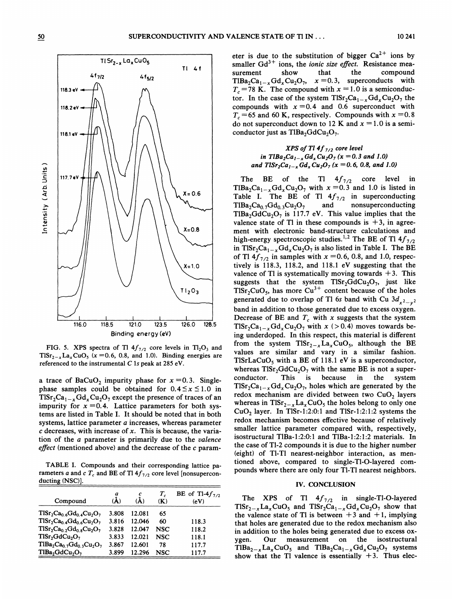

FIG. 5. XPS spectra of Tl  $4f_{7/2}$  core levels in Tl<sub>2</sub>O<sub>3</sub> and  $T1Sr_{2-x}La_xCuO_5$  (x = 0.6, 0.8, and 1.0). Binding energies are referenced to the instrumental  $C$  1s peak at 285 eV.

a trace of BaCuO<sub>2</sub> impurity phase for  $x = 0.3$ . Singlephase samples could be obtained for  $0.4 \le x \le 1.0$  in  $T1Sr_2Ca_{1-x}Gd_xCu_2O_7$  except the presence of traces of an impurity for  $x = 0.4$ . Lattice parameters for both systems are listed in Table I. It should be noted that in both systems, lattice parameter a increases, whereas parameter  $c$  decreases, with increase of x. This is because, the variation of the a parameter is primarily due to the valence effect (mentioned above) and the decrease of the  $c$  param-

TABLE I. Compounds and their corresponding lattice parameters a and c  $T_c$  and BE of Tl  $4f_{7/2}$  core level [nonsuperconducting (NSC)].

| Compound                                           | a<br>'À) | с<br>(À) | $T_c$<br>(K) | BE of Tl-4 $f_{7/2}$<br>(eV) |
|----------------------------------------------------|----------|----------|--------------|------------------------------|
| $T1Sr_2Ca_{0.6}Gd_{0.4}Cu_2O_7$                    | 3.808    | 12.081   | 65           |                              |
| $TlSr2Ca0.4Gd0.6Cu2O7$                             | 3.816    | 12.046   | 60           | 118.3                        |
| $TlSr_2Ca_{0.2}Gd_{0.8}Cu_2O_7$                    | 3.828    | 12.047   | <b>NSC</b>   | 118.2                        |
| TlSr <sub>2</sub> GdCu <sub>2</sub> O <sub>7</sub> | 3.833    | 12.021   | <b>NSC</b>   | 118.1                        |
| $T1Ba2Ca0.7Gd0.3Cu2O7$                             | 3.867    | 12.601   | 78           | 117.7                        |
| $TlBa2GdCu2O7$                                     | 3.899    | 12.296   | NSC          | 117.7                        |

eter is due to the substitution of bigger  $Ca^{2+}$  ions by smaller  $Gd^{3+}$  ions, the *ionic size effect*. Resistance measurement show that the compound  $TIBa_2Ca_{1-x}Gd_xCu_2O_7$ ,  $x=0.3$ , superconducts with  $T_c$  =78 K. The compound with  $x = 1.0$  is a semiconductor. In the case of the system  $T1Sr_2Ca_{1-x}Gd_xCu_2O_7$  the compounds with  $x = 0.4$  and 0.6 superconduct with  $T_c$  =65 and 60 K, respectively. Compounds with  $x = 0.8$ do not superconduct down to 12 K and  $x = 1.0$  is a semiconductor just as TlBa<sub>2</sub>GdCu<sub>2</sub>O<sub>7</sub>.

## XPS of Tl  $4f_{7/2}$  core level in TlBa<sub>2</sub>Ca<sub>1-x</sub> Gd<sub>x</sub> Cu<sub>2</sub>O<sub>7</sub> (x = 0.3 and 1.0) and  $Tlsr_2Ca_{1-x}Gd_xCu_2O_7(x = 0.6, 0.8, and 1.0)$

The BE of the Tl  $4f_{7/2}$  core level in TIBa<sub>2</sub>Ca<sub>1-x</sub>Gd<sub>x</sub>Cu<sub>2</sub>O<sub>7</sub> with  $x = 0.3$  and 1.0 is listed in Table I. The BE of Tl  $4f_{7/2}$  in superconduction  $TIBa_2Ca_0 \tcdot \text{Gd}_0 \tcdot \text{Cu}_2O_7$  and nonsuperconducting TlBa<sub>2</sub>GdCu<sub>2</sub>O<sub>7</sub> is 117.7 eV. This value implies that the valence state of Tl in these compounds is  $+3$ , in agreement with electronic band-structure calculations and high-energy spectroscopic studies.<sup>1,2</sup> The BE of Tl  $4f_{7/2}$ in TlSr<sub>2</sub>Ca<sub>1-x</sub>Gd<sub>x</sub>Cu<sub>2</sub>O<sub>7</sub> is also listed in Table I. The BE of Tl  $4f_{7/2}$  in samples with  $x = 0.6, 0.8$ , and 1.0, respectively is 118.3, 118.2, and 118.<sup>1</sup> eV suggesting that the valence of Tl is systematically moving towards  $+3$ . This suggests that the system  $Tlsr_2GdCu_2O_7$ , just like  $T1Sr_2CuO_5$ , has more  $Cu^{3+}$  content because of the holes generated due to overlap of T1 6s band with Cu  $3d_{x^2-y^2}$ band in addition to those generated due to excess oxygen. Decrease of BE and  $T_c$  with x suggests that the system  $T1Sr_2Ca_{1-x}Gd_xCu_2O_7$  with  $x$  (>0.4) moves towards being underdoped. In this respect, this material is different from the system  $Tlsr_{2-x}La_xCuO_5$ , although the BE values are similar and vary in a similar fashion. TlSrLaCuO<sub>5</sub> with a BE of 118.1 eV is a superconductor, whereas  $Tlsr_2GdCu_2O_7$  with the same BE is not a superconductor. This is because in the system  $Tlsr_2Ca_{1-x}Gd_xCu_2O_7$ , holes which are generated by the redox mechanism are divided between two  $CuO<sub>2</sub>$  layers whereas in TlSr<sub>2-x</sub>La<sub>x</sub>CuO<sub>5</sub> the holes belong to only one CuO<sub>2</sub> layer. In TlSr-1:2:0:1 and TlSr-1:2:1:2 systems the redox mechanism becomes effective because of relatively smaller lattice parameter compared with, respectively, isostructural TlBa-1:2:0:1 and TlBa-1:2:1:2 materials. In the case of Tl-2 compounds it is due to the higher number (eight) of Tl-Tl nearest-neighbor interaction, as mentioned above, compared to single- Tl-0-layered compounds where there are only four Tl-Tl nearest neighbors.

#### IV. CONCLUSION

The XPS of Tl  $4f_{7/2}$  in single-Tl-O-layered  $Tlsr_{2-x}La_xCuO_5$  and  $Tlsr_2Ca_{1-x}Gd_xCu_2O_7$  show that the valence state of Tl is between  $+3$  and  $+1$ , implying that holes are generated due to the redox mechanism also in addition to the holes being generated due to excess oxygen. Our measurement on the isostructural  $T1Ba_{2-x}La_xCuO_5$  and  $T1Ba_2Ca_{1-x}Gd_xCu_2O_7$  systems show that the Tl valence is essentially  $+3$ . Thus elec